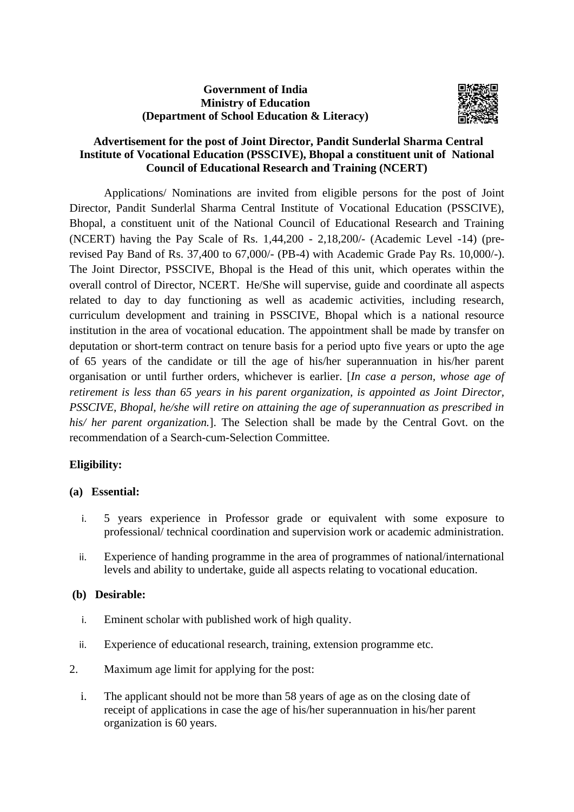# **Government of India Ministry of Education (Department of School Education & Literacy)**



## **Advertisement for the post of Joint Director, Pandit Sunderlal Sharma Central Institute of Vocational Education (PSSCIVE), Bhopal a constituent unit of National Council of Educational Research and Training (NCERT)**

Applications/ Nominations are invited from eligible persons for the post of Joint Director, Pandit Sunderlal Sharma Central Institute of Vocational Education (PSSCIVE), Bhopal, a constituent unit of the National Council of Educational Research and Training (NCERT) having the Pay Scale of Rs. 1,44,200 - 2,18,200/- (Academic Level -14) (prerevised Pay Band of Rs. 37,400 to 67,000/- (PB-4) with Academic Grade Pay Rs. 10,000/-). The Joint Director, PSSCIVE, Bhopal is the Head of this unit, which operates within the overall control of Director, NCERT. He/She will supervise, guide and coordinate all aspects related to day to day functioning as well as academic activities, including research, curriculum development and training in PSSCIVE, Bhopal which is a national resource institution in the area of vocational education. The appointment shall be made by transfer on deputation or short-term contract on tenure basis for a period upto five years or upto the age of 65 years of the candidate or till the age of his/her superannuation in his/her parent organisation or until further orders, whichever is earlier. [*In case a person, whose age of retirement is less than 65 years in his parent organization, is appointed as Joint Director, PSSCIVE, Bhopal, he/she will retire on attaining the age of superannuation as prescribed in his/ her parent organization.*]. The Selection shall be made by the Central Govt. on the recommendation of a Search-cum-Selection Committee.

# **Eligibility:**

#### **(a) Essential:**

- i. 5 years experience in Professor grade or equivalent with some exposure to professional/ technical coordination and supervision work or academic administration.
- ii. Experience of handing programme in the area of programmes of national/international levels and ability to undertake, guide all aspects relating to vocational education.

#### **(b) Desirable:**

- i. Eminent scholar with published work of high quality.
- ii. Experience of educational research, training, extension programme etc.
- 2. Maximum age limit for applying for the post:
	- i. The applicant should not be more than 58 years of age as on the closing date of receipt of applications in case the age of his/her superannuation in his/her parent organization is 60 years.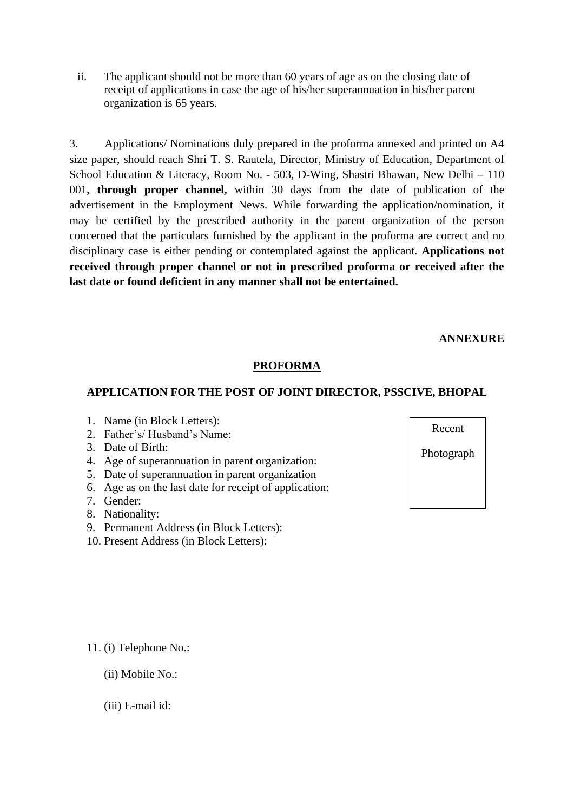ii. The applicant should not be more than 60 years of age as on the closing date of receipt of applications in case the age of his/her superannuation in his/her parent organization is 65 years.

3. Applications/ Nominations duly prepared in the proforma annexed and printed on A4 size paper, should reach Shri T. S. Rautela, Director, Ministry of Education, Department of School Education & Literacy, Room No. - 503, D-Wing, Shastri Bhawan, New Delhi – 110 001, **through proper channel,** within 30 days from the date of publication of the advertisement in the Employment News. While forwarding the application/nomination, it may be certified by the prescribed authority in the parent organization of the person concerned that the particulars furnished by the applicant in the proforma are correct and no disciplinary case is either pending or contemplated against the applicant. **Applications not received through proper channel or not in prescribed proforma or received after the last date or found deficient in any manner shall not be entertained.** 

**ANNEXURE**

## **PROFORMA**

## **APPLICATION FOR THE POST OF JOINT DIRECTOR, PSSCIVE, BHOPAL**

- 1. Name (in Block Letters):
- 2. Father's/ Husband's Name:
- 3. Date of Birth:
- 4. Age of superannuation in parent organization:
- 5. Date of superannuation in parent organization
- 6. Age as on the last date for receipt of application:
- 7. Gender:
- 8. Nationality:
- 9. Permanent Address (in Block Letters):
- 10. Present Address (in Block Letters):

Recent Photograph

11. (i) Telephone No.:

- (ii) Mobile No.:
- (iii) E-mail id: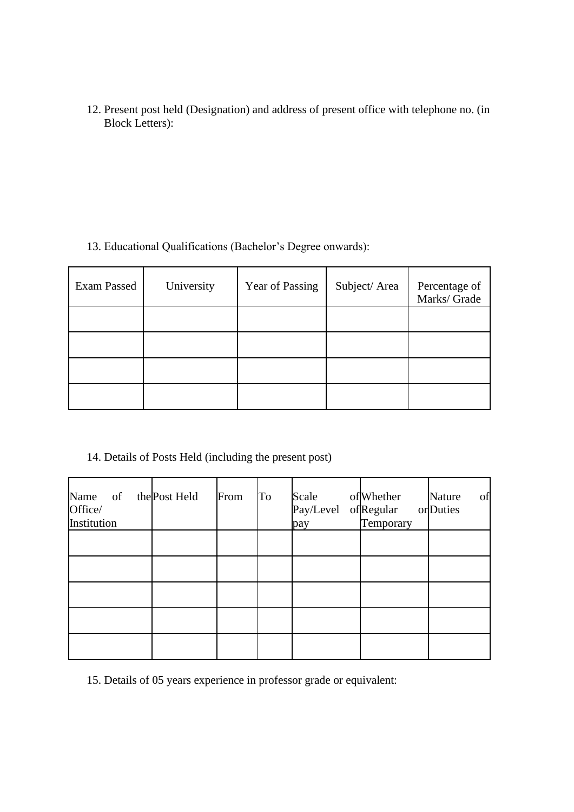12. Present post held (Designation) and address of present office with telephone no. (in Block Letters):

13. Educational Qualifications (Bachelor's Degree onwards):

| Exam Passed | University | Year of Passing | Subject/Area | Percentage of<br>Marks/ Grade |
|-------------|------------|-----------------|--------------|-------------------------------|
|             |            |                 |              |                               |
|             |            |                 |              |                               |
|             |            |                 |              |                               |
|             |            |                 |              |                               |

14. Details of Posts Held (including the present post)

| Name of the Post Held<br>Office/<br>Institution | From | To | Scale<br>Pay/Level ofRegular<br>pay | of Whether<br>Temporary | of<br>Nature<br>or Duties |
|-------------------------------------------------|------|----|-------------------------------------|-------------------------|---------------------------|
|                                                 |      |    |                                     |                         |                           |
|                                                 |      |    |                                     |                         |                           |
|                                                 |      |    |                                     |                         |                           |

15. Details of 05 years experience in professor grade or equivalent: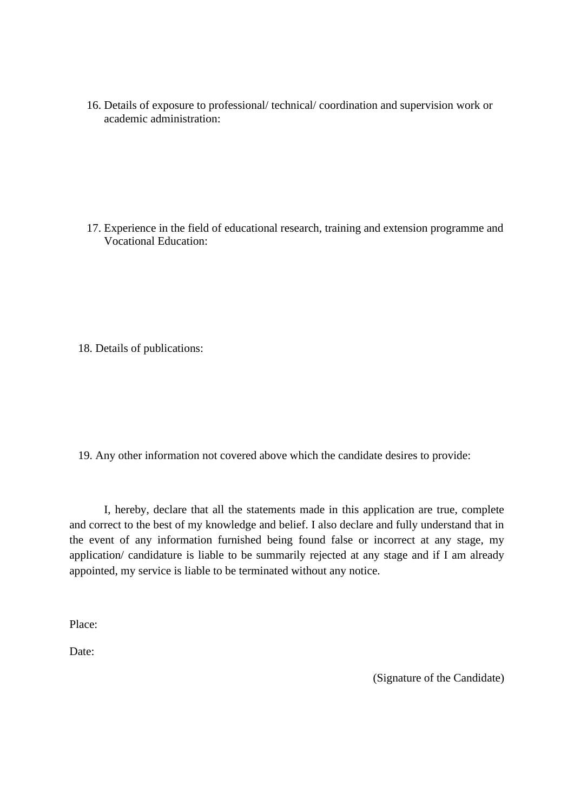16. Details of exposure to professional/ technical/ coordination and supervision work or academic administration:

17. Experience in the field of educational research, training and extension programme and Vocational Education:

18. Details of publications:

19. Any other information not covered above which the candidate desires to provide:

I, hereby, declare that all the statements made in this application are true, complete and correct to the best of my knowledge and belief. I also declare and fully understand that in the event of any information furnished being found false or incorrect at any stage, my application/ candidature is liable to be summarily rejected at any stage and if I am already appointed, my service is liable to be terminated without any notice.

Place:

Date:

(Signature of the Candidate)